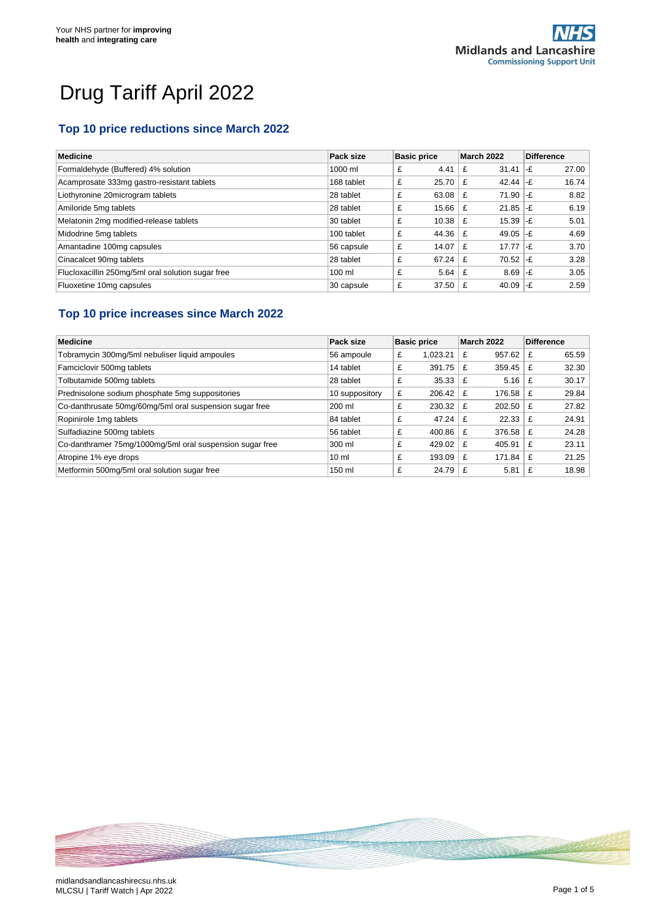# Drug Tariff April 2022

# **Top 10 price reductions since March 2022**

| <b>Medicine</b>                                   | Pack size        | <b>Basic price</b> | March 2022      | <b>Difference</b> |
|---------------------------------------------------|------------------|--------------------|-----------------|-------------------|
| Formaldehyde (Buffered) 4% solution               | 1000 ml          | 4.41<br>£          | 31.41<br>£      | 27.00<br>l-£      |
| Acamprosate 333mg gastro-resistant tablets        | 168 tablet       | £<br>25.70         | $42.44$ -£<br>£ | 16.74             |
| Liothyronine 20microgram tablets                  | 28 tablet        | £<br>63.08         | 71.90<br>£      | 8.82<br>$-F$      |
| Amiloride 5mg tablets                             | 28 tablet        | 15.66<br>£         | 21.85<br>£      | 6.19<br>∣-£       |
| Melatonin 2mg modified-release tablets            | 30 tablet        | £<br>10.38         | $15.39$ -£<br>£ | 5.01              |
| Midodrine 5mg tablets                             | 100 tablet       | £<br>44.36         | 49.05<br>£      | 4.69<br>l-£       |
| Amantadine 100mg capsules                         | 56 capsule       | £<br>14.07         | $17.77$ -£<br>£ | 3.70              |
| Cinacalcet 90mg tablets                           | 28 tablet        | £<br>67.24         | 70.52<br>£      | 3.28<br>∣-£       |
| Flucloxacillin 250mg/5ml oral solution sugar free | $100 \mathrm{m}$ | £<br>5.64          | 8.69<br>£       | 3.05<br>l-£       |
| Fluoxetine 10mg capsules                          | 30 capsule       | £<br>37.50         | 40.09<br>£      | 2.59<br>∣-£       |

#### **Top 10 price increases since March 2022**

| Medicine                                                 | Pack size       | <b>Basic price</b> | March 2022  | <b>Difference</b> |
|----------------------------------------------------------|-----------------|--------------------|-------------|-------------------|
| Tobramycin 300mg/5ml nebuliser liquid ampoules           | 56 ampoule      | 1.023.21<br>£      | 957.62<br>£ | 65.59<br>£        |
| Famciclovir 500mg tablets                                | 14 tablet       | 391.75<br>£        | 359.45<br>£ | 32.30<br>£        |
| Tolbutamide 500mg tablets                                | 28 tablet       | £<br>35.33         | 5.16<br>£   | 30.17             |
| Prednisolone sodium phosphate 5mg suppositories          | 10 suppository  | £<br>206.42        | 176.58<br>£ | 29.84<br>£        |
| Co-danthrusate 50mg/60mg/5ml oral suspension sugar free  | 200 ml          | 230.32<br>£        | 202.50<br>£ | 27.82<br>£        |
| Ropinirole 1mg tablets                                   | 84 tablet       | £<br>47.24         | 22.33<br>£  | 24.91             |
| Sulfadiazine 500mg tablets                               | 56 tablet       | £<br>400.86        | 376.58<br>£ | 24.28<br>£        |
| Co-danthramer 75mg/1000mg/5ml oral suspension sugar free | 300 ml          | 429.02<br>£        | 405.91<br>£ | 23.11<br>£        |
| Atropine 1% eye drops                                    | 10 <sub>m</sub> | £<br>193.09        | 171.84<br>£ | 21.25<br>£        |
| Metformin 500mg/5ml oral solution sugar free             | 150 ml          | 24.79<br>£         | 5.81<br>£   | 18.98             |

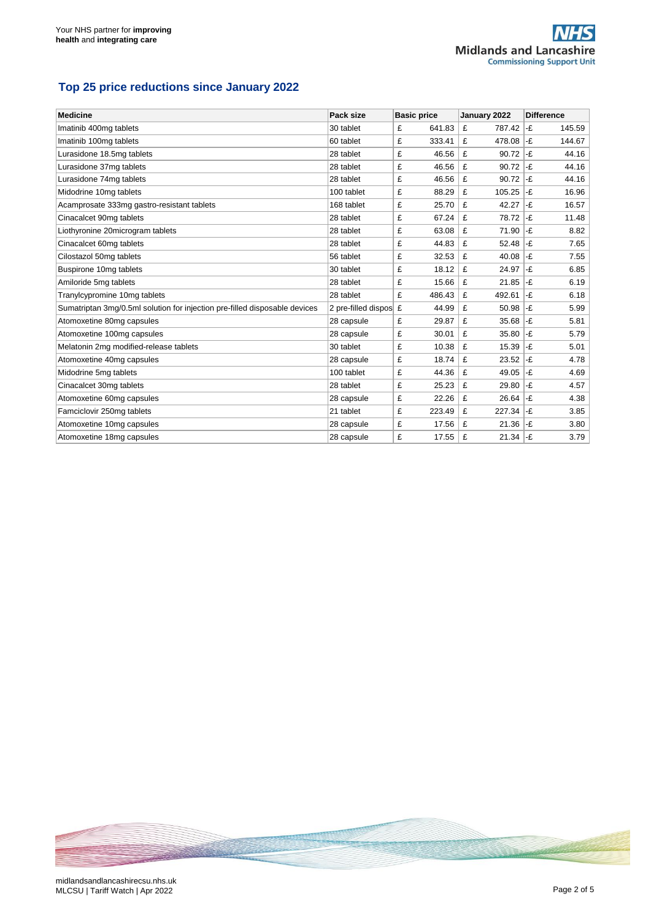# **Top 25 price reductions since January 2022**

| <b>Medicine</b>                                                            | Pack size             | <b>Basic price</b> | January 2022 | <b>Difference</b> |
|----------------------------------------------------------------------------|-----------------------|--------------------|--------------|-------------------|
| Imatinib 400mg tablets                                                     | 30 tablet             | 641.83<br>£        | £<br>787.42  | -£<br>145.59      |
| Imatinib 100mg tablets                                                     | 60 tablet             | £<br>333.41        | £<br>478.08  | -£<br>144.67      |
| Lurasidone 18.5mg tablets                                                  | 28 tablet             | £<br>46.56         | £<br>90.72   | -£<br>44.16       |
| Lurasidone 37mg tablets                                                    | 28 tablet             | £<br>46.56         | £<br>90.72   | -£<br>44.16       |
| Lurasidone 74mg tablets                                                    | 28 tablet             | £<br>46.56         | £<br>90.72   | -£<br>44.16       |
| Midodrine 10mg tablets                                                     | 100 tablet            | £<br>88.29         | £<br>105.25  | -£<br>16.96       |
| Acamprosate 333mg gastro-resistant tablets                                 | 168 tablet            | 25.70<br>£         | £<br>42.27   | -£<br>16.57       |
| Cinacalcet 90mg tablets                                                    | 28 tablet             | £<br>67.24         | £<br>78.72   | -£<br>11.48       |
| Liothyronine 20microgram tablets                                           | 28 tablet             | 63.08<br>£         | 71.90<br>£   | -£<br>8.82        |
| Cinacalcet 60mg tablets                                                    | 28 tablet             | £<br>44.83         | 52.48<br>£   | -£<br>7.65        |
| Cilostazol 50mg tablets                                                    | 56 tablet             | £<br>32.53         | £<br>40.08   | -£<br>7.55        |
| Buspirone 10mg tablets                                                     | 30 tablet             | £<br>18.12         | £<br>24.97   | -£<br>6.85        |
| Amiloride 5mg tablets                                                      | 28 tablet             | £<br>15.66         | £<br>21.85   | -£<br>6.19        |
| Tranylcypromine 10mg tablets                                               | 28 tablet             | £<br>486.43        | £<br>492.61  | -£<br>6.18        |
| Sumatriptan 3mg/0.5ml solution for injection pre-filled disposable devices | 2 pre-filled dispos £ | 44.99              | £<br>50.98   | -£<br>5.99        |
| Atomoxetine 80mg capsules                                                  | 28 capsule            | £<br>29.87         | £<br>35.68   | -£<br>5.81        |
| Atomoxetine 100mg capsules                                                 | 28 capsule            | £<br>30.01         | £<br>35.80   | -£<br>5.79        |
| Melatonin 2mg modified-release tablets                                     | 30 tablet             | £<br>10.38         | 15.39<br>£   | -£<br>5.01        |
| Atomoxetine 40mg capsules                                                  | 28 capsule            | £<br>18.74         | 23.52<br>£   | -£<br>4.78        |
| Midodrine 5mg tablets                                                      | 100 tablet            | £<br>44.36         | £<br>49.05   | -£<br>4.69        |
| Cinacalcet 30mg tablets                                                    | 28 tablet             | £<br>25.23         | £<br>29.80   | -£<br>4.57        |
| Atomoxetine 60mg capsules                                                  | 28 capsule            | £<br>22.26         | £<br>26.64   | -£<br>4.38        |
| Famciclovir 250mg tablets                                                  | 21 tablet             | £<br>223.49        | £<br>227.34  | -£<br>3.85        |
| Atomoxetine 10mg capsules                                                  | 28 capsule            | £<br>17.56         | 21.36<br>£   | -£<br>3.80        |
| Atomoxetine 18mg capsules                                                  | 28 capsule            | £<br>17.55         | £<br>21.34   | -£<br>3.79        |

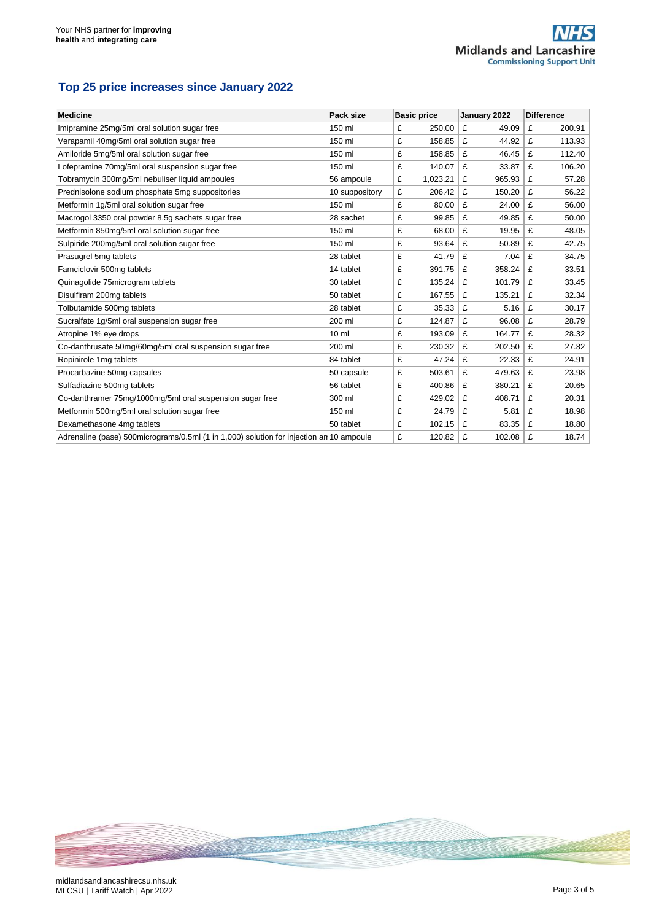#### **Top 25 price increases since January 2022**

| <b>Medicine</b>                                                                         | Pack size       | <b>Basic price</b> | January 2022 | <b>Difference</b> |
|-----------------------------------------------------------------------------------------|-----------------|--------------------|--------------|-------------------|
| Imipramine 25mg/5ml oral solution sugar free                                            | 150 ml          | £<br>250.00        | £<br>49.09   | £<br>200.91       |
| Verapamil 40mg/5ml oral solution sugar free                                             | 150 ml          | £<br>158.85        | £<br>44.92   | 113.93<br>£       |
| Amiloride 5mg/5ml oral solution sugar free                                              | 150 ml          | £<br>158.85        | £<br>46.45   | 112.40<br>£       |
| Lofepramine 70mg/5ml oral suspension sugar free                                         | 150 ml          | £<br>140.07        | £<br>33.87   | £<br>106.20       |
| Tobramycin 300mg/5ml nebuliser liquid ampoules                                          | 56 ampoule      | £<br>1,023.21      | £<br>965.93  | £<br>57.28        |
| Prednisolone sodium phosphate 5mg suppositories                                         | 10 suppository  | £<br>206.42        | £<br>150.20  | £<br>56.22        |
| Metformin 1g/5ml oral solution sugar free                                               | 150 ml          | £<br>80.00         | £<br>24.00   | £<br>56.00        |
| Macrogol 3350 oral powder 8.5g sachets sugar free                                       | 28 sachet       | £<br>99.85         | £<br>49.85   | £<br>50.00        |
| Metformin 850mg/5ml oral solution sugar free                                            | 150 ml          | £<br>68.00         | £<br>19.95   | 48.05<br>£        |
| Sulpiride 200mg/5ml oral solution sugar free                                            | 150 ml          | £<br>93.64         | £<br>50.89   | £<br>42.75        |
| Prasugrel 5mg tablets                                                                   | 28 tablet       | £<br>41.79         | £<br>7.04    | £<br>34.75        |
| Famciclovir 500mg tablets                                                               | 14 tablet       | £<br>391.75        | £<br>358.24  | £<br>33.51        |
| Quinagolide 75microgram tablets                                                         | 30 tablet       | £<br>135.24        | £<br>101.79  | £<br>33.45        |
| Disulfiram 200mg tablets                                                                | 50 tablet       | £<br>167.55        | £<br>135.21  | £<br>32.34        |
| Tolbutamide 500mg tablets                                                               | 28 tablet       | £<br>35.33         | £<br>5.16    | £<br>30.17        |
| Sucralfate 1g/5ml oral suspension sugar free                                            | 200 ml          | 124.87<br>£        | £<br>96.08   | £<br>28.79        |
| Atropine 1% eye drops                                                                   | 10 <sub>m</sub> | £<br>193.09        | £<br>164.77  | £<br>28.32        |
| Co-danthrusate 50mg/60mg/5ml oral suspension sugar free                                 | 200 ml          | £<br>230.32        | £<br>202.50  | £<br>27.82        |
| Ropinirole 1mg tablets                                                                  | 84 tablet       | £<br>47.24         | £<br>22.33   | £<br>24.91        |
| Procarbazine 50mg capsules                                                              | 50 capsule      | £<br>503.61        | £<br>479.63  | £<br>23.98        |
| Sulfadiazine 500mg tablets                                                              | 56 tablet       | £<br>400.86        | £<br>380.21  | £<br>20.65        |
| Co-danthramer 75mg/1000mg/5ml oral suspension sugar free                                | 300 ml          | £<br>429.02        | £<br>408.71  | £<br>20.31        |
| Metformin 500mg/5ml oral solution sugar free                                            | 150 ml          | £<br>24.79         | £<br>5.81    | £<br>18.98        |
| Dexamethasone 4mg tablets                                                               | 50 tablet       | £<br>102.15        | £<br>83.35   | £<br>18.80        |
| Adrenaline (base) 500micrograms/0.5ml (1 in 1,000) solution for injection an 10 ampoule |                 | £<br>120.82        | £<br>102.08  | 18.74<br>£        |

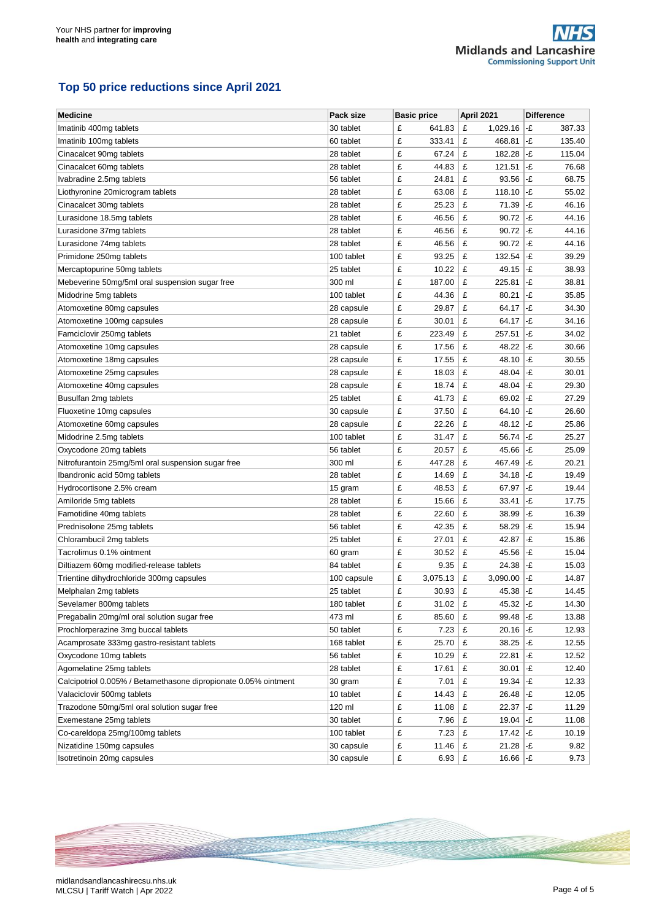#### **Top 50 price reductions since April 2021**

| <b>Medicine</b>                                                 | Pack size   | <b>Basic price</b> | April 2021                     | <b>Difference</b>            |
|-----------------------------------------------------------------|-------------|--------------------|--------------------------------|------------------------------|
| Imatinib 400mg tablets                                          | 30 tablet   | £<br>641.83        | £<br>1,029.16                  | -£<br>387.33                 |
| Imatinib 100mg tablets                                          | 60 tablet   | £<br>333.41        | £<br>468.81                    | -£<br>135.40                 |
| Cinacalcet 90mg tablets                                         | 28 tablet   | £<br>67.24         | £<br>182.28                    | -£<br>115.04                 |
| Cinacalcet 60mg tablets                                         | 28 tablet   | £<br>44.83         | £<br>121.51                    | -£<br>76.68                  |
| Ivabradine 2.5mg tablets                                        | 56 tablet   | £<br>24.81         | £<br>93.56                     | -£<br>68.75                  |
| Liothyronine 20microgram tablets                                | 28 tablet   | £<br>63.08         | £<br>118.10                    | -£<br>55.02                  |
| Cinacalcet 30mg tablets                                         | 28 tablet   | £<br>25.23         | £<br>71.39                     | -£<br>46.16                  |
| Lurasidone 18.5mg tablets                                       | 28 tablet   | £<br>46.56         | £<br>90.72                     | -£<br>44.16                  |
| Lurasidone 37mg tablets                                         | 28 tablet   | £<br>46.56         | £<br>90.72                     | -£<br>44.16                  |
| Lurasidone 74mg tablets                                         | 28 tablet   | £<br>46.56         | £<br>90.72                     | -£<br>44.16                  |
| Primidone 250mg tablets                                         | 100 tablet  | £<br>93.25         | £<br>132.54                    | -£<br>39.29                  |
| Mercaptopurine 50mg tablets                                     | 25 tablet   | £<br>10.22         | £<br>49.15                     | -£<br>38.93                  |
| Mebeverine 50mg/5ml oral suspension sugar free                  | 300 ml      | £<br>187.00        | £<br>225.81                    | -£<br>38.81                  |
| Midodrine 5mg tablets                                           | 100 tablet  | £<br>44.36         | £<br>80.21                     | -£<br>35.85                  |
| Atomoxetine 80mg capsules                                       | 28 capsule  | £<br>29.87         | £<br>64.17                     | -£<br>34.30                  |
| Atomoxetine 100mg capsules                                      | 28 capsule  | £<br>30.01         | £<br>64.17                     | -£<br>34.16                  |
| Famciclovir 250mg tablets                                       | 21 tablet   | £<br>223.49        | £<br>257.51                    | -£<br>34.02                  |
| Atomoxetine 10mg capsules                                       | 28 capsule  | £<br>17.56         | £<br>48.22                     | -£<br>30.66                  |
| Atomoxetine 18mg capsules                                       | 28 capsule  | £<br>17.55         | £<br>48.10                     | -£<br>30.55                  |
| Atomoxetine 25mg capsules                                       | 28 capsule  | £<br>18.03         | £<br>48.04                     | -£<br>30.01                  |
| Atomoxetine 40mg capsules                                       | 28 capsule  | £<br>18.74         | £<br>48.04                     | -£<br>29.30                  |
| Busulfan 2mg tablets                                            | 25 tablet   | £<br>41.73         | £<br>69.02                     | -£<br>27.29                  |
| Fluoxetine 10mg capsules                                        | 30 capsule  | £<br>37.50         | £<br>64.10                     | -£<br>26.60                  |
| Atomoxetine 60mg capsules                                       | 28 capsule  | £<br>22.26         | £<br>48.12                     | -£<br>25.86                  |
| Midodrine 2.5mg tablets                                         | 100 tablet  | £<br>31.47         | £<br>56.74                     | -£<br>25.27                  |
| Oxycodone 20mg tablets                                          | 56 tablet   | £<br>20.57         | £<br>45.66                     | -£<br>25.09                  |
| Nitrofurantoin 25mg/5ml oral suspension sugar free              | 300 ml      | £<br>447.28        | £<br>467.49                    | -£<br>20.21                  |
| Ibandronic acid 50mg tablets                                    | 28 tablet   | £<br>14.69         | £<br>34.18                     | -£<br>19.49                  |
| Hydrocortisone 2.5% cream                                       | 15 gram     | £<br>48.53         | £<br>67.97                     | -£<br>19.44                  |
| Amiloride 5mg tablets                                           | 28 tablet   | £<br>15.66         | £<br>33.41                     | -£<br>17.75                  |
| Famotidine 40mg tablets                                         | 28 tablet   | £<br>22.60         | £<br>38.99                     | -£<br>16.39                  |
| Prednisolone 25mg tablets                                       | 56 tablet   | £<br>42.35         | £<br>58.29                     | -£<br>15.94                  |
| Chlorambucil 2mg tablets                                        | 25 tablet   | £<br>27.01         | £<br>42.87                     | -£<br>15.86                  |
| Tacrolimus 0.1% ointment                                        | 60 gram     | £<br>30.52         | £<br>45.56                     | -£<br>15.04                  |
| Diltiazem 60mg modified-release tablets                         | 84 tablet   | £<br>9.35          | £<br>24.38                     | -£<br>15.03                  |
| Trientine dihydrochloride 300mg capsules                        | 100 capsule | £<br>3,075.13      | £<br>3,090.00                  | -£<br>14.87                  |
| Melphalan 2mg tablets                                           | 25 tablet   | £<br>30.93         | £<br>45.38                     | -£<br>14.45                  |
| Sevelamer 800mg tablets                                         | 180 tablet  | £<br>31.02         | 45.32<br>£                     | 14.30<br>$ \text{-} \pounds$ |
| Pregabalin 20mg/ml oral solution sugar free                     | 473 ml      | £<br>85.60         | £<br>99.48                     | -£<br>13.88                  |
| Prochlorperazine 3mg buccal tablets                             | 50 tablet   | £<br>7.23          | $20.16$ -£<br>£                | 12.93                        |
| Acamprosate 333mg gastro-resistant tablets                      | 168 tablet  | £<br>25.70         | £<br>38.25                     | -£<br>12.55                  |
| Oxycodone 10mg tablets                                          | 56 tablet   | £<br>10.29         | £<br>22.81                     | -£<br>12.52                  |
| Agomelatine 25mg tablets                                        | 28 tablet   | £<br>17.61         | £<br>30.01                     | -£<br>12.40                  |
| Calcipotriol 0.005% / Betamethasone dipropionate 0.05% ointment | 30 gram     | £<br>7.01          | £<br>19.34                     | -£<br>12.33                  |
| Valaciclovir 500mg tablets                                      | 10 tablet   | £<br>14.43         | £<br>26.48                     | -£<br>12.05                  |
| Trazodone 50mg/5ml oral solution sugar free                     | 120 ml      | £<br>11.08         | £<br>22.37                     | $ \text{-} \pounds$<br>11.29 |
| Exemestane 25mg tablets                                         | 30 tablet   | £<br>7.96          | £<br>19.04                     | -£<br>11.08                  |
| Co-careldopa 25mg/100mg tablets                                 | 100 tablet  | £<br>7.23          | £<br>17.42 $\left  -E \right $ | 10.19                        |
| Nizatidine 150mg capsules                                       | 30 capsule  | £<br>11.46         | £<br>21.28 $-F$                | 9.82                         |
| Isotretinoin 20mg capsules                                      | 30 capsule  | £<br>6.93          | £<br>16.66 -£                  | 9.73                         |